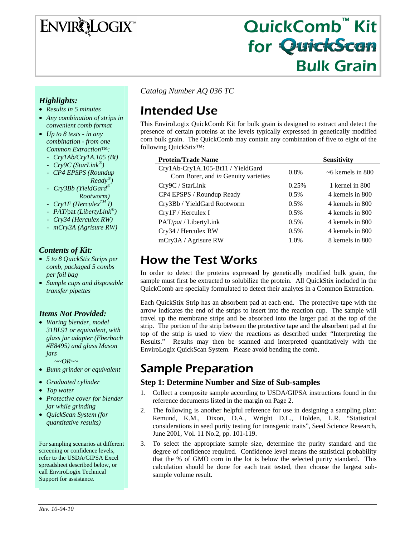# ENVIRQLOGIX

# QuickComb™ Kit for QuickScan Bulk Grain

*Catalog Number AQ 036 TC* 

# Intended Use

This EnviroLogix QuickComb Kit for bulk grain is designed to extract and detect the presence of certain proteins at the levels typically expressed in genetically modified corn bulk grain. The QuickComb may contain any combination of five to eight of the following QuickStix™:

| <b>Protein/Trade Name</b>                                                 |         | <b>Sensitivity</b>       |
|---------------------------------------------------------------------------|---------|--------------------------|
| Cry1Ab-Cry1A.105-Bt11 / YieldGard<br>Corn Borer, and in Genuity varieties | $0.8\%$ | $~1$ $~6$ kernels in 800 |
| Cry9C / StarLink                                                          | 0.25%   | 1 kernel in 800          |
| CP4 EPSPS / Roundup Ready                                                 | 0.5%    | 4 kernels in 800         |
| Cry3Bb / YieldGard Rootworm                                               | $0.5\%$ | 4 kernels in 800         |
| $Cry1F /$ Herculex I                                                      | 0.5%    | 4 kernels in 800         |
| PAT/ <i>pat</i> / LibertyLink                                             | 0.5%    | 4 kernels in 800         |
| Cry34 / Herculex RW                                                       | 0.5%    | 4 kernels in 800         |
| mCry3A / Agrisure RW                                                      | 1.0%    | 8 kernels in 800         |

# How the Test Works

In order to detect the proteins expressed by genetically modified bulk grain, the sample must first be extracted to solubilize the protein. All QuickStix included in the QuickComb are specially formulated to detect their analytes in a Common Extraction.

Each QuickStix Strip has an absorbent pad at each end. The protective tape with the arrow indicates the end of the strips to insert into the reaction cup. The sample will travel up the membrane strips and be absorbed into the larger pad at the top of the strip. The portion of the strip between the protective tape and the absorbent pad at the top of the strip is used to view the reactions as described under "Interpreting the Results." Results may then be scanned and interpreted quantitatively with the EnviroLogix QuickScan System. Please avoid bending the comb.

# Sample Preparation

### **Step 1: Determine Number and Size of Sub-samples**

- 1. Collect a composite sample according to USDA/GIPSA instructions found in the reference documents listed in the margin on Page 2.
- 2. The following is another helpful reference for use in designing a sampling plan: Remund, K.M., Dixon, D.A., Wright D.L., Holden, L.R. "Statistical considerations in seed purity testing for transgenic traits", Seed Science Research, June 2001, Vol. 11 No.2, pp. 101-119.
- 3. To select the appropriate sample size, determine the purity standard and the degree of confidence required. Confidence level means the statistical probability that the % of GMO corn in the lot is below the selected purity standard. This calculation should be done for each trait tested, then choose the largest subsample volume result.

### *Highlights:*

- *Results in 5 minutes*
- *Any combination of strips in convenient comb format*
- *Up to 8 tests in any combination - from one Common Extraction™:* 
	- *Cry1Ab/Cry1A.105 (Bt)*
	- *Cry9C (StarLink®)*
	- *CP4 EPSPS (Roundup Ready®)*
	- *Cry3Bb (YieldGard® Rootworm)*
	- *Cry1F (HerculexTM I)*
	- *PAT/*pat *(LibertyLink®)*
	- *Cry34 (Herculex RW)*
	- *mCry3A (Agrisure RW)*

### *Contents of Kit:*

- *5 to 8 QuickStix Strips per comb, packaged 5 combs per foil bag*
- *Sample cups and disposable transfer pipettes*

### *Items Not Provided:*

- *Waring blender, model 31BL91 or equivalent, with glass jar adapter (Eberbach #E8495) and glass Mason jars ~~OR~~*
- *Bunn grinder or equivalent*
- *Graduated cylinder*
- *Tap water*
- *Protective cover for blender jar while grinding*
- *QuickScan System (for quantitative results)*

For sampling scenarios at different screening or confidence levels, refer to the USDA/GIPSA Excel spreadsheet described below, or call EnviroLogix Technical Support for assistance.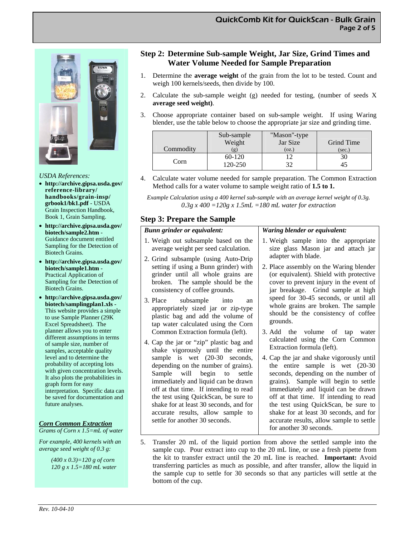*Waring blender or equivalent:* 



#### *USDA References:*

- **http://archive.gipsa.usda.gov/ reference-library/ handbooks/grain-insp/ grbook1/bk1.pdf** - USDA Grain Inspection Handbook, Book 1, Grain Sampling.
- **http://archive.gipsa.usda.gov/ biotech/sample2.htm** - Guidance document entitled Sampling for the Detection of Biotech Grains.
- **http://archive.gipsa.usda.gov/ biotech/sample1.htm** - Practical Application of Sampling for the Detection of Biotech Grains.
- **http://archive.gipsa.usda.gov/ biotech/samplingplan1.xls -**  This website provides a simple to use Sample Planner (29K Excel Spreadsheet). The planner allows you to enter different assumptions in terms of sample size, number of samples, acceptable quality level and to determine the probability of accepting lots with given concentration levels. It also plots the probabilities in graph form for easy interpretation. Specific data can be saved for documentation and future analyses.

#### *Corn Common Extraction*

*Grams of Corn x 1.5=mL of water* 

*For example, 400 kernels with an average seed weight of 0.3 g:* 

> *(400 x 0.3)=120 g of corn 120 g x 1.5=180 mL water*

### **Step 2: Determine Sub-sample Weight, Jar Size, Grind Times and Water Volume Needed for Sample Preparation**

- 1. Determine the **average weight** of the grain from the lot to be tested. Count and weigh 100 kernels/seeds, then divide by 100.
- 2. Calculate the sub-sample weight (g) needed for testing, (number of seeds X **average seed weight)**.
- 3. Choose appropriate container based on sub-sample weight. If using Waring blender, use the table below to choose the appropriate jar size and grinding time.

| Commodity | Sub-sample<br>Weight<br>$\lfloor \mathfrak{Q} \rfloor$ | "Mason"-type<br>Jar Size<br>(oz.) | Grind Time<br>(sec.) |
|-----------|--------------------------------------------------------|-----------------------------------|----------------------|
| Corn      | 60-120<br>120-250                                      | 32                                | 30                   |

- 4. Calculate water volume needed for sample preparation. The Common Extraction Method calls for a water volume to sample weight ratio of **1.5 to 1.**
	- *Example Calculation using a 400 kernel sub-sample with an average kernel weight of 0.3g. 0.3g x 400 =120g x 1.5mL =180 mL water for extraction*

#### **Step 3: Prepare the Sample**

#### *Bunn grinder or equivalent:*

| 1. Weigh out subsample based on the                                                                                                              | 1. Weigh sample into the appropriate                                                                                            |
|--------------------------------------------------------------------------------------------------------------------------------------------------|---------------------------------------------------------------------------------------------------------------------------------|
| average weight per seed calculation.                                                                                                             | size glass Mason jar and attach jar                                                                                             |
| 2. Grind subsample (using Auto-Drip                                                                                                              | adapter with blade.                                                                                                             |
| setting if using a Bunn grinder) with                                                                                                            | 2. Place assembly on the Waring blender                                                                                         |
| grinder until all whole grains are                                                                                                               | (or equivalent). Shield with protective                                                                                         |
| broken. The sample should be the                                                                                                                 | cover to prevent injury in the event of                                                                                         |
| consistency of coffee grounds.                                                                                                                   | jar breakage. Grind sample at high                                                                                              |
| 3. Place subsample into<br>an<br>appropriately sized jar or zip-type<br>plastic bag and add the volume of<br>tap water calculated using the Corn | speed for 30-45 seconds, or until all<br>whole grains are broken. The sample<br>should be the consistency of coffee<br>grounds. |
| Common Extraction formula (left).                                                                                                                | 3. Add the volume of tap water                                                                                                  |
| 4. Cap the jar or "zip" plastic bag and                                                                                                          | calculated using the Corn Common                                                                                                |
| shake vigorously until the entire                                                                                                                | Extraction formula (left).                                                                                                      |
| sample is wet (20-30 seconds,                                                                                                                    | 4. Cap the jar and shake vigorously until                                                                                       |
| depending on the number of grains).                                                                                                              | the entire sample is wet $(20-30)$                                                                                              |
| Sample will begin to settle                                                                                                                      | seconds, depending on the number of                                                                                             |
| immediately and liquid can be drawn                                                                                                              | grains). Sample will begin to settle                                                                                            |
| off at that time. If intending to read                                                                                                           | immediately and liquid can be drawn                                                                                             |
| the test using QuickScan, be sure to                                                                                                             | off at that time. If intending to read                                                                                          |
| shake for at least 30 seconds, and for                                                                                                           | the test using QuickScan, be sure to                                                                                            |
| accurate results, allow sample to                                                                                                                | shake for at least 30 seconds, and for                                                                                          |
| settle for another 30 seconds.                                                                                                                   | accurate results, allow sample to settle<br>for another 30 seconds.                                                             |

5. Transfer 20 mL of the liquid portion from above the settled sample into the sample cup. Pour extract into cup to the 20 mL line, or use a fresh pipette from the kit to transfer extract until the 20 mL line is reached. **Important:** Avoid transferring particles as much as possible, and after transfer, allow the liquid in the sample cup to settle for 30 seconds so that any particles will settle at the bottom of the cup.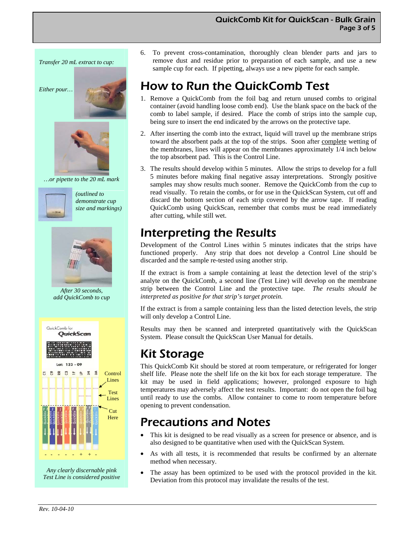

6. To prevent cross-contamination, thoroughly clean blender parts and jars to remove dust and residue prior to preparation of each sample, and use a new sample cup for each. If pipetting, always use a new pipette for each sample.

# How to Run the QuickComb Test

- 1. Remove a QuickComb from the foil bag and return unused combs to original container (avoid handling loose comb end). Use the blank space on the back of the comb to label sample, if desired. Place the comb of strips into the sample cup, being sure to insert the end indicated by the arrows on the protective tape.
- 2. After inserting the comb into the extract, liquid will travel up the membrane strips toward the absorbent pads at the top of the strips. Soon after complete wetting of the membranes, lines will appear on the membranes approximately 1/4 inch below the top absorbent pad. This is the Control Line.
- 3. The results should develop within 5 minutes. Allow the strips to develop for a full 5 minutes before making final negative assay interpretations. Strongly positive samples may show results much sooner. Remove the QuickComb from the cup to read visually. To retain the combs, or for use in the QuickScan System, cut off and discard the bottom section of each strip covered by the arrow tape. If reading QuickComb using QuickScan, remember that combs must be read immediately after cutting, while still wet.

# Interpreting the Results

Development of the Control Lines within 5 minutes indicates that the strips have functioned properly. Any strip that does not develop a Control Line should be discarded and the sample re-tested using another strip.

If the extract is from a sample containing at least the detection level of the strip's analyte on the QuickComb, a second line (Test Line) will develop on the membrane strip between the Control Line and the protective tape. *The results should be interpreted as positive for that strip's target protein.* 

If the extract is from a sample containing less than the listed detection levels, the strip will only develop a Control Line.

Results may then be scanned and interpreted quantitatively with the QuickScan System. Please consult the QuickScan User Manual for details.

# Kit Storage

This QuickComb Kit should be stored at room temperature, or refrigerated for longer shelf life. Please note the shelf life on the kit box for each storage temperature. The kit may be used in field applications; however, prolonged exposure to high temperatures may adversely affect the test results. Important: do not open the foil bag until ready to use the combs. Allow container to come to room temperature before opening to prevent condensation.

# Precautions and Notes

- This kit is designed to be read visually as a screen for presence or absence, and is also designed to be quantitative when used with the QuickScan System.
- As with all tests, it is recommended that results be confirmed by an alternate method when necessary.
- The assay has been optimized to be used with the protocol provided in the kit. Deviation from this protocol may invalidate the results of the test.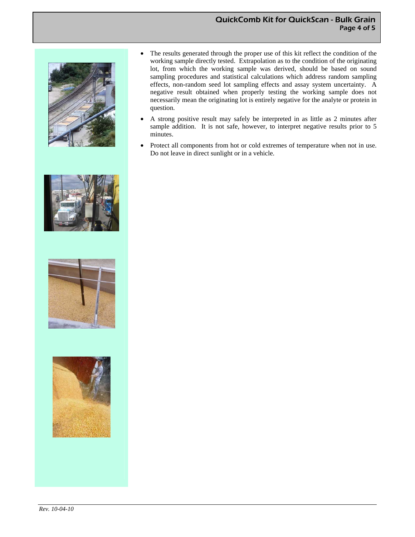#### QuickComb Kit for QuickScan - Bulk Grain Page 4 of 5





- A strong positive result may safely be interpreted in as little as 2 minutes after sample addition. It is not safe, however, to interpret negative results prior to 5 minutes.
- Protect all components from hot or cold extremes of temperature when not in use. Do not leave in direct sunlight or in a vehicle.